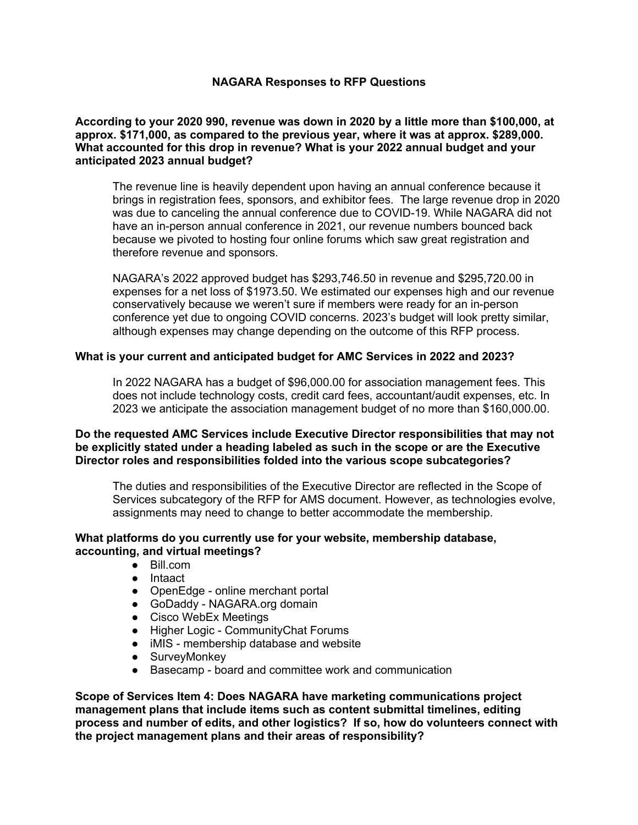## **NAGARA Responses to RFP Questions**

**According to your 2020 990, revenue was down in 2020 by a little more than \$100,000, at approx. \$171,000, as compared to the previous year, where it was at approx. \$289,000. What accounted for this drop in revenue? What is your 2022 annual budget and your anticipated 2023 annual budget?**

The revenue line is heavily dependent upon having an annual conference because it brings in registration fees, sponsors, and exhibitor fees. The large revenue drop in 2020 was due to canceling the annual conference due to COVID-19. While NAGARA did not have an in-person annual conference in 2021, our revenue numbers bounced back because we pivoted to hosting four online forums which saw great registration and therefore revenue and sponsors.

NAGARA's 2022 approved budget has \$293,746.50 in revenue and \$295,720.00 in expenses for a net loss of \$1973.50. We estimated our expenses high and our revenue conservatively because we weren't sure if members were ready for an in-person conference yet due to ongoing COVID concerns. 2023's budget will look pretty similar, although expenses may change depending on the outcome of this RFP process.

## **What is your current and anticipated budget for AMC Services in 2022 and 2023?**

In 2022 NAGARA has a budget of \$96,000.00 for association management fees. This does not include technology costs, credit card fees, accountant/audit expenses, etc. In 2023 we anticipate the association management budget of no more than \$160,000.00.

### **Do the requested AMC Services include Executive Director responsibilities that may not be explicitly stated under a heading labeled as such in the scope or are the Executive Director roles and responsibilities folded into the various scope subcategories?**

The duties and responsibilities of the Executive Director are reflected in the Scope of Services subcategory of the RFP for AMS document. However, as technologies evolve, assignments may need to change to better accommodate the membership.

#### **What platforms do you currently use for your website, membership database, accounting, and virtual meetings?**

- Bill.com
- Intaact
- OpenEdge online merchant portal
- GoDaddy NAGARA.org domain
- Cisco WebEx Meetings
- Higher Logic CommunityChat Forums
- iMIS membership database and website
- SurveyMonkey
- Basecamp board and committee work and communication

**Scope of Services Item 4: Does NAGARA have marketing communications project management plans that include items such as content submittal timelines, editing process and number of edits, and other logistics? If so, how do volunteers connect with the project management plans and their areas of responsibility?**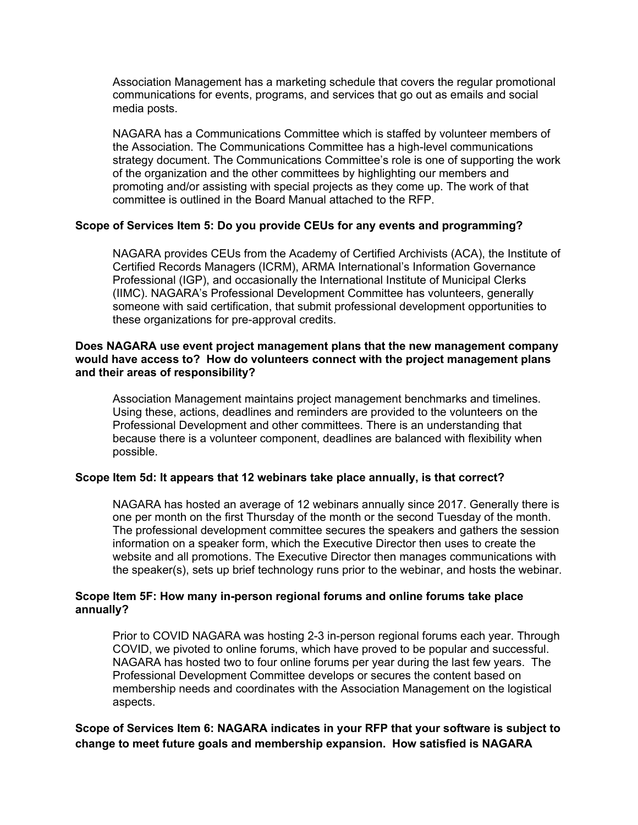Association Management has a marketing schedule that covers the regular promotional communications for events, programs, and services that go out as emails and social media posts.

NAGARA has a Communications Committee which is staffed by volunteer members of the Association. The Communications Committee has a high-level communications strategy document. The Communications Committee's role is one of supporting the work of the organization and the other committees by highlighting our members and promoting and/or assisting with special projects as they come up. The work of that committee is outlined in the Board Manual attached to the RFP.

## **Scope of Services Item 5: Do you provide CEUs for any events and programming?**

NAGARA provides CEUs from the Academy of Certified Archivists (ACA), the Institute of Certified Records Managers (ICRM), ARMA International's Information Governance Professional (IGP), and occasionally the International Institute of Municipal Clerks (IIMC). NAGARA's Professional Development Committee has volunteers, generally someone with said certification, that submit professional development opportunities to these organizations for pre-approval credits.

### **Does NAGARA use event project management plans that the new management company would have access to? How do volunteers connect with the project management plans and their areas of responsibility?**

Association Management maintains project management benchmarks and timelines. Using these, actions, deadlines and reminders are provided to the volunteers on the Professional Development and other committees. There is an understanding that because there is a volunteer component, deadlines are balanced with flexibility when possible.

#### **Scope Item 5d: It appears that 12 webinars take place annually, is that correct?**

NAGARA has hosted an average of 12 webinars annually since 2017. Generally there is one per month on the first Thursday of the month or the second Tuesday of the month. The professional development committee secures the speakers and gathers the session information on a speaker form, which the Executive Director then uses to create the website and all promotions. The Executive Director then manages communications with the speaker(s), sets up brief technology runs prior to the webinar, and hosts the webinar.

#### **Scope Item 5F: How many in-person regional forums and online forums take place annually?**

Prior to COVID NAGARA was hosting 2-3 in-person regional forums each year. Through COVID, we pivoted to online forums, which have proved to be popular and successful. NAGARA has hosted two to four online forums per year during the last few years. The Professional Development Committee develops or secures the content based on membership needs and coordinates with the Association Management on the logistical aspects.

# **Scope of Services Item 6: NAGARA indicates in your RFP that your software is subject to change to meet future goals and membership expansion. How satisfied is NAGARA**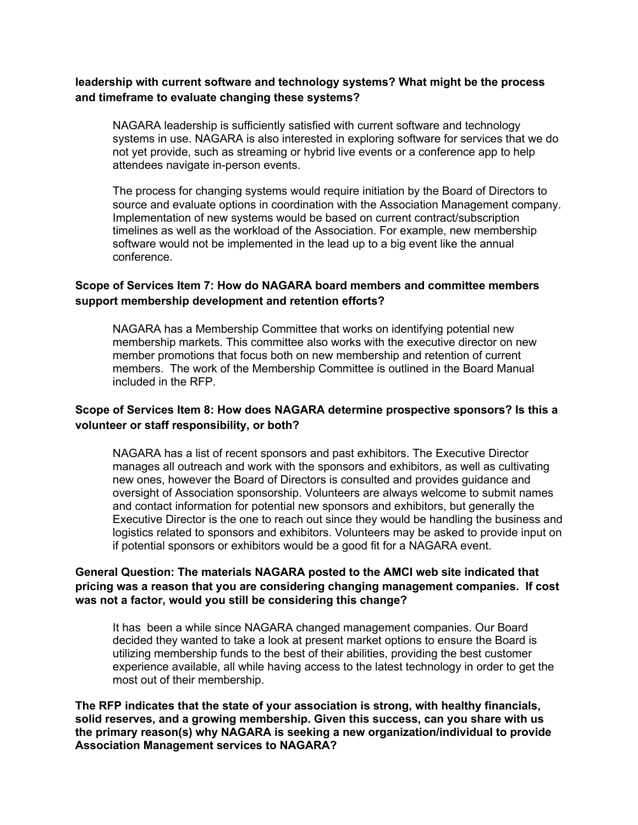# **leadership with current software and technology systems? What might be the process and timeframe to evaluate changing these systems?**

NAGARA leadership is sufficiently satisfied with current software and technology systems in use. NAGARA is also interested in exploring software for services that we do not yet provide, such as streaming or hybrid live events or a conference app to help attendees navigate in-person events.

The process for changing systems would require initiation by the Board of Directors to source and evaluate options in coordination with the Association Management company. Implementation of new systems would be based on current contract/subscription timelines as well as the workload of the Association. For example, new membership software would not be implemented in the lead up to a big event like the annual conference.

# **Scope of Services Item 7: How do NAGARA board members and committee members support membership development and retention efforts?**

NAGARA has a Membership Committee that works on identifying potential new membership markets. This committee also works with the executive director on new member promotions that focus both on new membership and retention of current members. The work of the Membership Committee is outlined in the Board Manual included in the RFP.

# **Scope of Services Item 8: How does NAGARA determine prospective sponsors? Is this a volunteer or staff responsibility, or both?**

NAGARA has a list of recent sponsors and past exhibitors. The Executive Director manages all outreach and work with the sponsors and exhibitors, as well as cultivating new ones, however the Board of Directors is consulted and provides guidance and oversight of Association sponsorship. Volunteers are always welcome to submit names and contact information for potential new sponsors and exhibitors, but generally the Executive Director is the one to reach out since they would be handling the business and logistics related to sponsors and exhibitors. Volunteers may be asked to provide input on if potential sponsors or exhibitors would be a good fit for a NAGARA event.

### **General Question: The materials NAGARA posted to the AMCI web site indicated that pricing was a reason that you are considering changing management companies. If cost was not a factor, would you still be considering this change?**

It has been a while since NAGARA changed management companies. Our Board decided they wanted to take a look at present market options to ensure the Board is utilizing membership funds to the best of their abilities, providing the best customer experience available, all while having access to the latest technology in order to get the most out of their membership.

**The RFP indicates that the state of your association is strong, with healthy financials, solid reserves, and a growing membership. Given this success, can you share with us the primary reason(s) why NAGARA is seeking a new organization/individual to provide Association Management services to NAGARA?**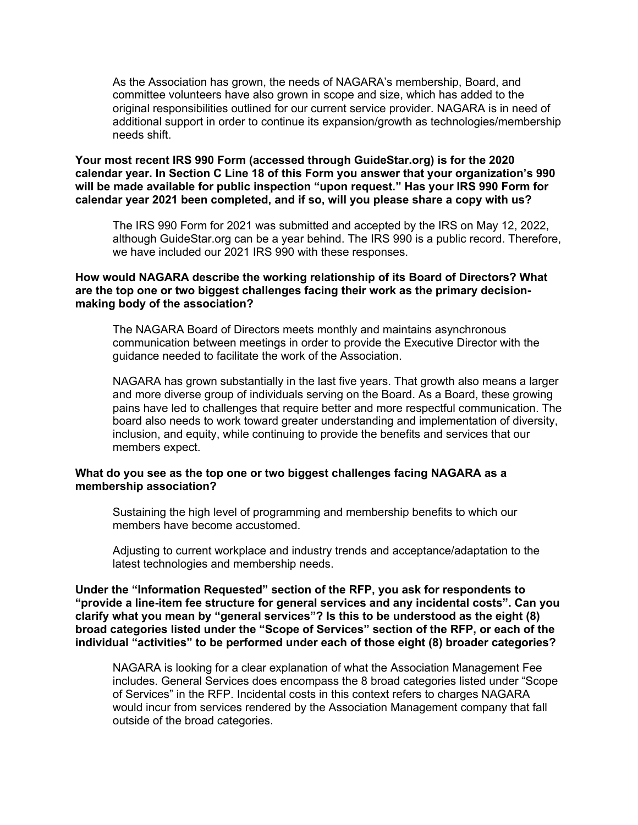As the Association has grown, the needs of NAGARA's membership, Board, and committee volunteers have also grown in scope and size, which has added to the original responsibilities outlined for our current service provider. NAGARA is in need of additional support in order to continue its expansion/growth as technologies/membership needs shift.

**Your most recent IRS 990 Form (accessed through GuideStar.org) is for the 2020 calendar year. In Section C Line 18 of this Form you answer that your organization's 990 will be made available for public inspection "upon request." Has your IRS 990 Form for calendar year 2021 been completed, and if so, will you please share a copy with us?**

The IRS 990 Form for 2021 was submitted and accepted by the IRS on May 12, 2022, although GuideStar.org can be a year behind. The IRS 990 is a public record. Therefore, we have included our 2021 IRS 990 with these responses.

## **How would NAGARA describe the working relationship of its Board of Directors? What are the top one or two biggest challenges facing their work as the primary decisionmaking body of the association?**

The NAGARA Board of Directors meets monthly and maintains asynchronous communication between meetings in order to provide the Executive Director with the guidance needed to facilitate the work of the Association.

NAGARA has grown substantially in the last five years. That growth also means a larger and more diverse group of individuals serving on the Board. As a Board, these growing pains have led to challenges that require better and more respectful communication. The board also needs to work toward greater understanding and implementation of diversity, inclusion, and equity, while continuing to provide the benefits and services that our members expect.

#### **What do you see as the top one or two biggest challenges facing NAGARA as a membership association?**

Sustaining the high level of programming and membership benefits to which our members have become accustomed.

Adjusting to current workplace and industry trends and acceptance/adaptation to the latest technologies and membership needs.

**Under the "Information Requested" section of the RFP, you ask for respondents to "provide a line-item fee structure for general services and any incidental costs". Can you clarify what you mean by "general services"? Is this to be understood as the eight (8) broad categories listed under the "Scope of Services" section of the RFP, or each of the individual "activities" to be performed under each of those eight (8) broader categories?**

NAGARA is looking for a clear explanation of what the Association Management Fee includes. General Services does encompass the 8 broad categories listed under "Scope of Services" in the RFP. Incidental costs in this context refers to charges NAGARA would incur from services rendered by the Association Management company that fall outside of the broad categories.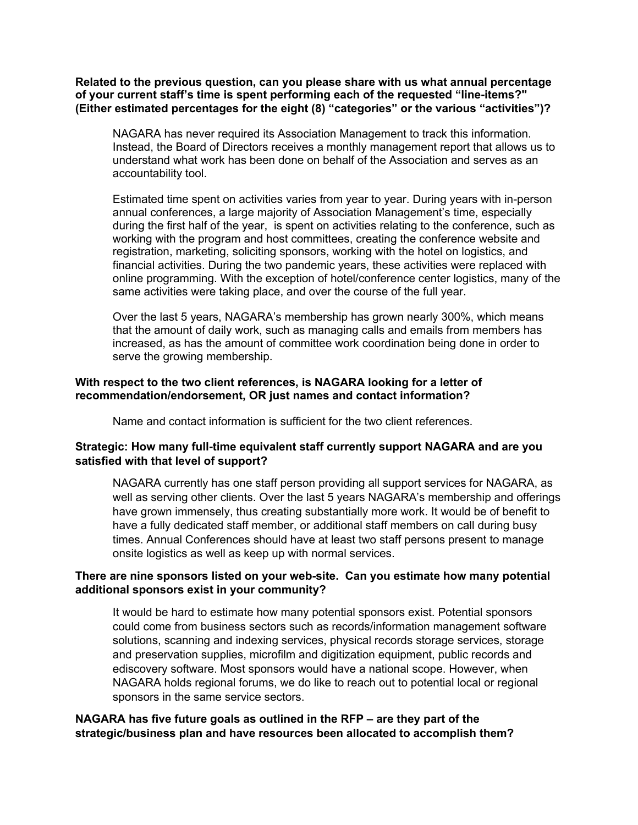**Related to the previous question, can you please share with us what annual percentage of your current staff's time is spent performing each of the requested "line-items?" (Either estimated percentages for the eight (8) "categories" or the various "activities")?**

NAGARA has never required its Association Management to track this information. Instead, the Board of Directors receives a monthly management report that allows us to understand what work has been done on behalf of the Association and serves as an accountability tool.

Estimated time spent on activities varies from year to year. During years with in-person annual conferences, a large majority of Association Management's time, especially during the first half of the year, is spent on activities relating to the conference, such as working with the program and host committees, creating the conference website and registration, marketing, soliciting sponsors, working with the hotel on logistics, and financial activities. During the two pandemic years, these activities were replaced with online programming. With the exception of hotel/conference center logistics, many of the same activities were taking place, and over the course of the full year.

Over the last 5 years, NAGARA's membership has grown nearly 300%, which means that the amount of daily work, such as managing calls and emails from members has increased, as has the amount of committee work coordination being done in order to serve the growing membership.

### **With respect to the two client references, is NAGARA looking for a letter of recommendation/endorsement, OR just names and contact information?**

Name and contact information is sufficient for the two client references.

# **Strategic: How many full-time equivalent staff currently support NAGARA and are you satisfied with that level of support?**

NAGARA currently has one staff person providing all support services for NAGARA, as well as serving other clients. Over the last 5 years NAGARA's membership and offerings have grown immensely, thus creating substantially more work. It would be of benefit to have a fully dedicated staff member, or additional staff members on call during busy times. Annual Conferences should have at least two staff persons present to manage onsite logistics as well as keep up with normal services.

# **There are nine sponsors listed on your web-site. Can you estimate how many potential additional sponsors exist in your community?**

It would be hard to estimate how many potential sponsors exist. Potential sponsors could come from business sectors such as records/information management software solutions, scanning and indexing services, physical records storage services, storage and preservation supplies, microfilm and digitization equipment, public records and ediscovery software. Most sponsors would have a national scope. However, when NAGARA holds regional forums, we do like to reach out to potential local or regional sponsors in the same service sectors.

# **NAGARA has five future goals as outlined in the RFP – are they part of the strategic/business plan and have resources been allocated to accomplish them?**